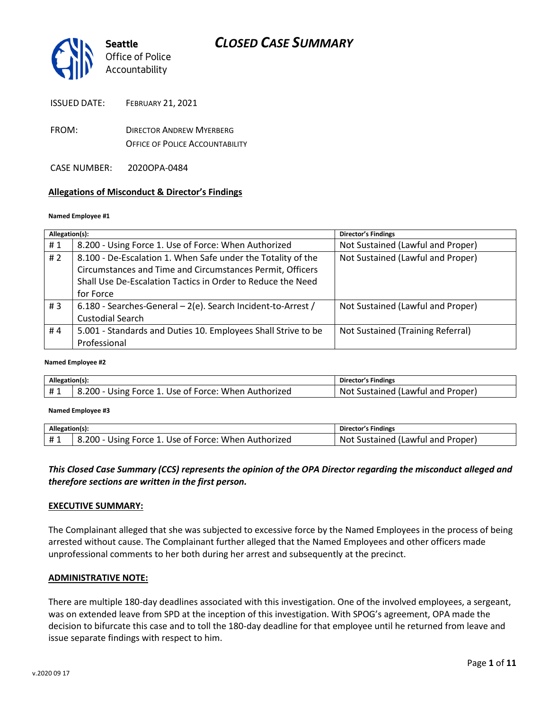

| <b>ISSUED DATE:</b> | <b>FEBRUARY 21, 2021</b> |
|---------------------|--------------------------|
|                     |                          |

- FROM: DIRECTOR ANDREW MYERBERG OFFICE OF POLICE ACCOUNTABILITY
- CASE NUMBER: 2020OPA-0484

#### **Allegations of Misconduct & Director's Findings**

#### **Named Employee #1**

| Allegation(s): |                                                               | <b>Director's Findings</b>        |
|----------------|---------------------------------------------------------------|-----------------------------------|
| #1             | 8.200 - Using Force 1. Use of Force: When Authorized          | Not Sustained (Lawful and Proper) |
| # $2$          | 8.100 - De-Escalation 1. When Safe under the Totality of the  | Not Sustained (Lawful and Proper) |
|                | Circumstances and Time and Circumstances Permit, Officers     |                                   |
|                | Shall Use De-Escalation Tactics in Order to Reduce the Need   |                                   |
|                | for Force                                                     |                                   |
| #3             | 6.180 - Searches-General – 2(e). Search Incident-to-Arrest /  | Not Sustained (Lawful and Proper) |
|                | <b>Custodial Search</b>                                       |                                   |
| #4             | 5.001 - Standards and Duties 10. Employees Shall Strive to be | Not Sustained (Training Referral) |
|                | Professional                                                  |                                   |

#### **Named Employee #2**

| Allegation(s): |                                                            | Director's Findings               |
|----------------|------------------------------------------------------------|-----------------------------------|
| #1             | .200 - ા<br>- Using Force 1. Use of Force: When Authorized | Not Sustained (Lawful and Proper) |

#### **Named Employee #3**

| Allegation(s): |                                                      | Director's Findings                         |
|----------------|------------------------------------------------------|---------------------------------------------|
| #1             | 8.200 - Using Force 1. Use of Force: When Authorized | Sustained (Lawful and Proper)<br><b>Not</b> |

### *This Closed Case Summary (CCS) represents the opinion of the OPA Director regarding the misconduct alleged and therefore sections are written in the first person.*

#### **EXECUTIVE SUMMARY:**

The Complainant alleged that she was subjected to excessive force by the Named Employees in the process of being arrested without cause. The Complainant further alleged that the Named Employees and other officers made unprofessional comments to her both during her arrest and subsequently at the precinct.

#### **ADMINISTRATIVE NOTE:**

There are multiple 180-day deadlines associated with this investigation. One of the involved employees, a sergeant, was on extended leave from SPD at the inception of this investigation. With SPOG's agreement, OPA made the decision to bifurcate this case and to toll the 180-day deadline for that employee until he returned from leave and issue separate findings with respect to him.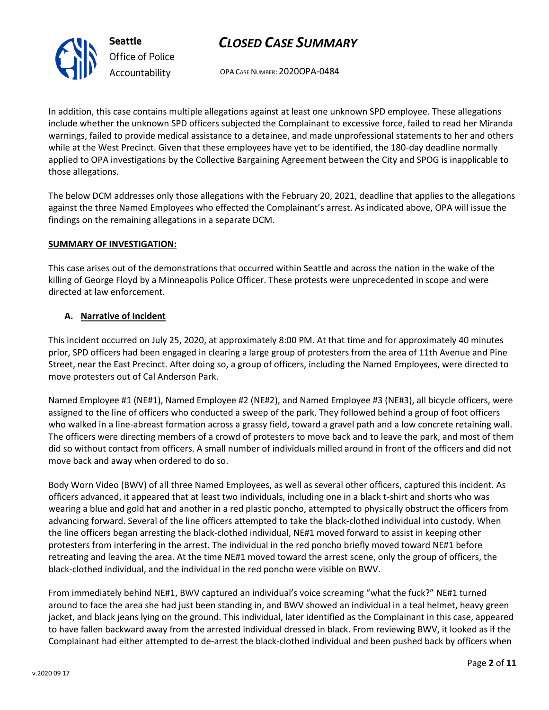OPA CASE NUMBER: 2020OPA-0484

In addition, this case contains multiple allegations against at least one unknown SPD employee. These allegations include whether the unknown SPD officers subjected the Complainant to excessive force, failed to read her Miranda warnings, failed to provide medical assistance to a detainee, and made unprofessional statements to her and others while at the West Precinct. Given that these employees have yet to be identified, the 180-day deadline normally applied to OPA investigations by the Collective Bargaining Agreement between the City and SPOG is inapplicable to those allegations.

The below DCM addresses only those allegations with the February 20, 2021, deadline that applies to the allegations against the three Named Employees who effected the Complainant's arrest. As indicated above, OPA will issue the findings on the remaining allegations in a separate DCM.

### **SUMMARY OF INVESTIGATION:**

**Seattle**

*Office of Police Accountability*

This case arises out of the demonstrations that occurred within Seattle and across the nation in the wake of the killing of George Floyd by a Minneapolis Police Officer. These protests were unprecedented in scope and were directed at law enforcement.

### **A. Narrative of Incident**

This incident occurred on July 25, 2020, at approximately 8:00 PM. At that time and for approximately 40 minutes prior, SPD officers had been engaged in clearing a large group of protesters from the area of 11th Avenue and Pine Street, near the East Precinct. After doing so, a group of officers, including the Named Employees, were directed to move protesters out of Cal Anderson Park.

Named Employee #1 (NE#1), Named Employee #2 (NE#2), and Named Employee #3 (NE#3), all bicycle officers, were assigned to the line of officers who conducted a sweep of the park. They followed behind a group of foot officers who walked in a line-abreast formation across a grassy field, toward a gravel path and a low concrete retaining wall. The officers were directing members of a crowd of protesters to move back and to leave the park, and most of them did so without contact from officers. A small number of individuals milled around in front of the officers and did not move back and away when ordered to do so.

Body Worn Video (BWV) of all three Named Employees, as well as several other officers, captured this incident. As officers advanced, it appeared that at least two individuals, including one in a black t-shirt and shorts who was wearing a blue and gold hat and another in a red plastic poncho, attempted to physically obstruct the officers from advancing forward. Several of the line officers attempted to take the black-clothed individual into custody. When the line officers began arresting the black-clothed individual, NE#1 moved forward to assist in keeping other protesters from interfering in the arrest. The individual in the red poncho briefly moved toward NE#1 before retreating and leaving the area. At the time NE#1 moved toward the arrest scene, only the group of officers, the black-clothed individual, and the individual in the red poncho were visible on BWV.

From immediately behind NE#1, BWV captured an individual's voice screaming "what the fuck?" NE#1 turned around to face the area she had just been standing in, and BWV showed an individual in a teal helmet, heavy green jacket, and black jeans lying on the ground. This individual, later identified as the Complainant in this case, appeared to have fallen backward away from the arrested individual dressed in black. From reviewing BWV, it looked as if the Complainant had either attempted to de-arrest the black-clothed individual and been pushed back by officers when

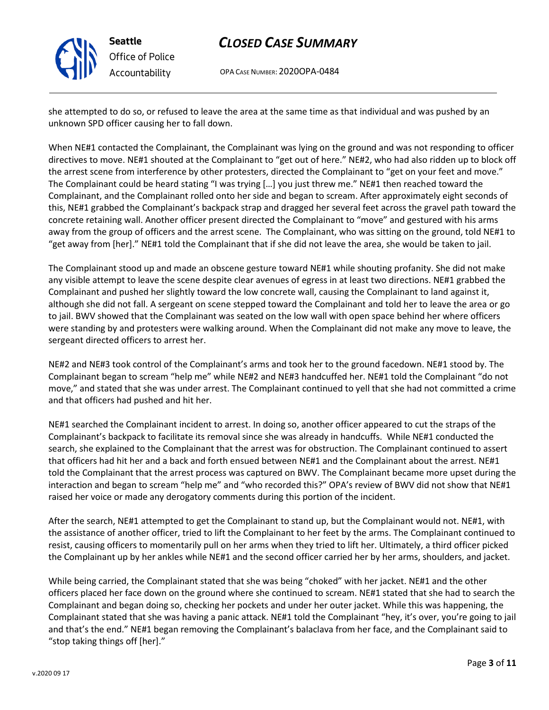

**Seattle** *Office of Police Accountability*

## *CLOSED CASE SUMMARY*

OPA CASE NUMBER: 2020OPA-0484

she attempted to do so, or refused to leave the area at the same time as that individual and was pushed by an unknown SPD officer causing her to fall down.

When NE#1 contacted the Complainant, the Complainant was lying on the ground and was not responding to officer directives to move. NE#1 shouted at the Complainant to "get out of here." NE#2, who had also ridden up to block off the arrest scene from interference by other protesters, directed the Complainant to "get on your feet and move." The Complainant could be heard stating "I was trying […] you just threw me." NE#1 then reached toward the Complainant, and the Complainant rolled onto her side and began to scream. After approximately eight seconds of this, NE#1 grabbed the Complainant's backpack strap and dragged her several feet across the gravel path toward the concrete retaining wall. Another officer present directed the Complainant to "move" and gestured with his arms away from the group of officers and the arrest scene. The Complainant, who was sitting on the ground, told NE#1 to "get away from [her]." NE#1 told the Complainant that if she did not leave the area, she would be taken to jail.

The Complainant stood up and made an obscene gesture toward NE#1 while shouting profanity. She did not make any visible attempt to leave the scene despite clear avenues of egress in at least two directions. NE#1 grabbed the Complainant and pushed her slightly toward the low concrete wall, causing the Complainant to land against it, although she did not fall. A sergeant on scene stepped toward the Complainant and told her to leave the area or go to jail. BWV showed that the Complainant was seated on the low wall with open space behind her where officers were standing by and protesters were walking around. When the Complainant did not make any move to leave, the sergeant directed officers to arrest her.

NE#2 and NE#3 took control of the Complainant's arms and took her to the ground facedown. NE#1 stood by. The Complainant began to scream "help me" while NE#2 and NE#3 handcuffed her. NE#1 told the Complainant "do not move," and stated that she was under arrest. The Complainant continued to yell that she had not committed a crime and that officers had pushed and hit her.

NE#1 searched the Complainant incident to arrest. In doing so, another officer appeared to cut the straps of the Complainant's backpack to facilitate its removal since she was already in handcuffs. While NE#1 conducted the search, she explained to the Complainant that the arrest was for obstruction. The Complainant continued to assert that officers had hit her and a back and forth ensued between NE#1 and the Complainant about the arrest. NE#1 told the Complainant that the arrest process was captured on BWV. The Complainant became more upset during the interaction and began to scream "help me" and "who recorded this?" OPA's review of BWV did not show that NE#1 raised her voice or made any derogatory comments during this portion of the incident.

After the search, NE#1 attempted to get the Complainant to stand up, but the Complainant would not. NE#1, with the assistance of another officer, tried to lift the Complainant to her feet by the arms. The Complainant continued to resist, causing officers to momentarily pull on her arms when they tried to lift her. Ultimately, a third officer picked the Complainant up by her ankles while NE#1 and the second officer carried her by her arms, shoulders, and jacket.

While being carried, the Complainant stated that she was being "choked" with her jacket. NE#1 and the other officers placed her face down on the ground where she continued to scream. NE#1 stated that she had to search the Complainant and began doing so, checking her pockets and under her outer jacket. While this was happening, the Complainant stated that she was having a panic attack. NE#1 told the Complainant "hey, it's over, you're going to jail and that's the end." NE#1 began removing the Complainant's balaclava from her face, and the Complainant said to "stop taking things off [her]."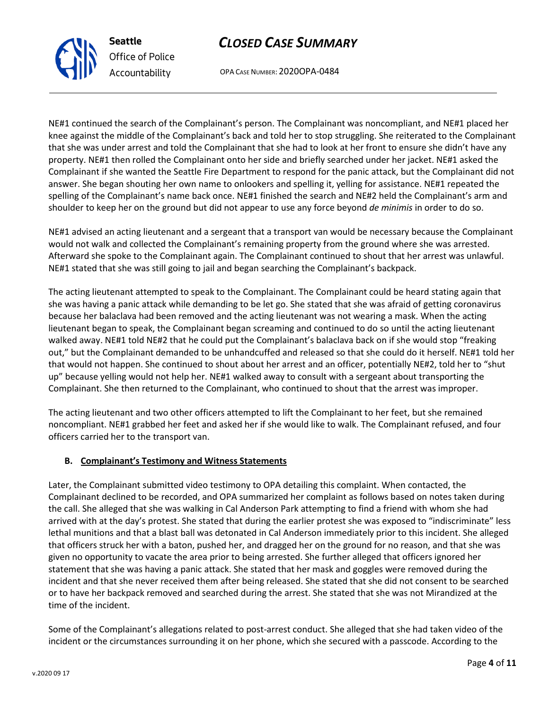## NE#1 stated that she was still going to jail and began searching the Complainant's backpack.

The acting lieutenant attempted to speak to the Complainant. The Complainant could be heard stating again that she was having a panic attack while demanding to be let go. She stated that she was afraid of getting coronavirus because her balaclava had been removed and the acting lieutenant was not wearing a mask. When the acting lieutenant began to speak, the Complainant began screaming and continued to do so until the acting lieutenant walked away. NE#1 told NE#2 that he could put the Complainant's balaclava back on if she would stop "freaking out," but the Complainant demanded to be unhandcuffed and released so that she could do it herself. NE#1 told her that would not happen. She continued to shout about her arrest and an officer, potentially NE#2, told her to "shut up" because yelling would not help her. NE#1 walked away to consult with a sergeant about transporting the Complainant. She then returned to the Complainant, who continued to shout that the arrest was improper.

The acting lieutenant and two other officers attempted to lift the Complainant to her feet, but she remained noncompliant. NE#1 grabbed her feet and asked her if she would like to walk. The Complainant refused, and four officers carried her to the transport van.

### **B. Complainant's Testimony and Witness Statements**

Later, the Complainant submitted video testimony to OPA detailing this complaint. When contacted, the Complainant declined to be recorded, and OPA summarized her complaint as follows based on notes taken during the call. She alleged that she was walking in Cal Anderson Park attempting to find a friend with whom she had arrived with at the day's protest. She stated that during the earlier protest she was exposed to "indiscriminate" less lethal munitions and that a blast ball was detonated in Cal Anderson immediately prior to this incident. She alleged that officers struck her with a baton, pushed her, and dragged her on the ground for no reason, and that she was given no opportunity to vacate the area prior to being arrested. She further alleged that officers ignored her statement that she was having a panic attack. She stated that her mask and goggles were removed during the incident and that she never received them after being released. She stated that she did not consent to be searched or to have her backpack removed and searched during the arrest. She stated that she was not Mirandized at the time of the incident.

Some of the Complainant's allegations related to post-arrest conduct. She alleged that she had taken video of the incident or the circumstances surrounding it on her phone, which she secured with a passcode. According to the

#### OPA CASE NUMBER: 2020OPA-0484

**Seattle** *Office of Police Accountability*

NE#1 continued the search of the Complainant's person. The Complainant was noncompliant, and NE#1 placed her knee against the middle of the Complainant's back and told her to stop struggling. She reiterated to the Complainant that she was under arrest and told the Complainant that she had to look at her front to ensure she didn't have any property. NE#1 then rolled the Complainant onto her side and briefly searched under her jacket. NE#1 asked the Complainant if she wanted the Seattle Fire Department to respond for the panic attack, but the Complainant did not answer. She began shouting her own name to onlookers and spelling it, yelling for assistance. NE#1 repeated the spelling of the Complainant's name back once. NE#1 finished the search and NE#2 held the Complainant's arm and shoulder to keep her on the ground but did not appear to use any force beyond *de minimis* in order to do so.

NE#1 advised an acting lieutenant and a sergeant that a transport van would be necessary because the Complainant would not walk and collected the Complainant's remaining property from the ground where she was arrested. Afterward she spoke to the Complainant again. The Complainant continued to shout that her arrest was unlawful.

# *CLOSED CASE SUMMARY*

Page **4** of **11**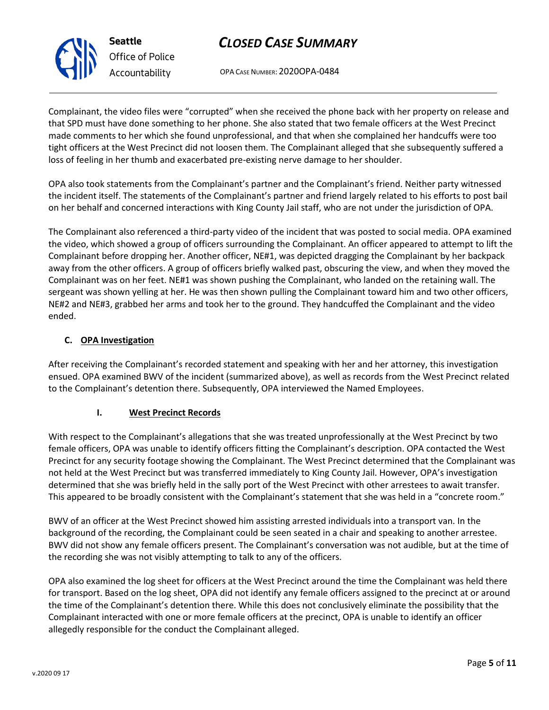OPA CASE NUMBER: 2020OPA-0484

Complainant, the video files were "corrupted" when she received the phone back with her property on release and that SPD must have done something to her phone. She also stated that two female officers at the West Precinct made comments to her which she found unprofessional, and that when she complained her handcuffs were too tight officers at the West Precinct did not loosen them. The Complainant alleged that she subsequently suffered a loss of feeling in her thumb and exacerbated pre-existing nerve damage to her shoulder.

OPA also took statements from the Complainant's partner and the Complainant's friend. Neither party witnessed the incident itself. The statements of the Complainant's partner and friend largely related to his efforts to post bail on her behalf and concerned interactions with King County Jail staff, who are not under the jurisdiction of OPA.

The Complainant also referenced a third-party video of the incident that was posted to social media. OPA examined the video, which showed a group of officers surrounding the Complainant. An officer appeared to attempt to lift the Complainant before dropping her. Another officer, NE#1, was depicted dragging the Complainant by her backpack away from the other officers. A group of officers briefly walked past, obscuring the view, and when they moved the Complainant was on her feet. NE#1 was shown pushing the Complainant, who landed on the retaining wall. The sergeant was shown yelling at her. He was then shown pulling the Complainant toward him and two other officers, NE#2 and NE#3, grabbed her arms and took her to the ground. They handcuffed the Complainant and the video ended.

## **C. OPA Investigation**

After receiving the Complainant's recorded statement and speaking with her and her attorney, this investigation ensued. OPA examined BWV of the incident (summarized above), as well as records from the West Precinct related to the Complainant's detention there. Subsequently, OPA interviewed the Named Employees.

## **I. West Precinct Records**

With respect to the Complainant's allegations that she was treated unprofessionally at the West Precinct by two female officers, OPA was unable to identify officers fitting the Complainant's description. OPA contacted the West Precinct for any security footage showing the Complainant. The West Precinct determined that the Complainant was not held at the West Precinct but was transferred immediately to King County Jail. However, OPA's investigation determined that she was briefly held in the sally port of the West Precinct with other arrestees to await transfer. This appeared to be broadly consistent with the Complainant's statement that she was held in a "concrete room."

BWV of an officer at the West Precinct showed him assisting arrested individuals into a transport van. In the background of the recording, the Complainant could be seen seated in a chair and speaking to another arrestee. BWV did not show any female officers present. The Complainant's conversation was not audible, but at the time of the recording she was not visibly attempting to talk to any of the officers.

OPA also examined the log sheet for officers at the West Precinct around the time the Complainant was held there for transport. Based on the log sheet, OPA did not identify any female officers assigned to the precinct at or around the time of the Complainant's detention there. While this does not conclusively eliminate the possibility that the Complainant interacted with one or more female officers at the precinct, OPA is unable to identify an officer allegedly responsible for the conduct the Complainant alleged.

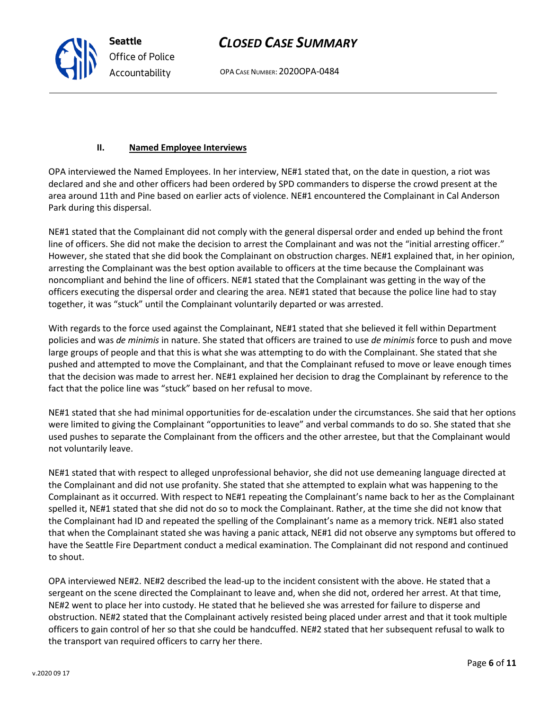OPA CASE NUMBER: 2020OPA-0484

#### **II. Named Employee Interviews**

OPA interviewed the Named Employees. In her interview, NE#1 stated that, on the date in question, a riot was declared and she and other officers had been ordered by SPD commanders to disperse the crowd present at the area around 11th and Pine based on earlier acts of violence. NE#1 encountered the Complainant in Cal Anderson Park during this dispersal.

NE#1 stated that the Complainant did not comply with the general dispersal order and ended up behind the front line of officers. She did not make the decision to arrest the Complainant and was not the "initial arresting officer." However, she stated that she did book the Complainant on obstruction charges. NE#1 explained that, in her opinion, arresting the Complainant was the best option available to officers at the time because the Complainant was noncompliant and behind the line of officers. NE#1 stated that the Complainant was getting in the way of the officers executing the dispersal order and clearing the area. NE#1 stated that because the police line had to stay together, it was "stuck" until the Complainant voluntarily departed or was arrested.

With regards to the force used against the Complainant, NE#1 stated that she believed it fell within Department policies and was *de minimis* in nature. She stated that officers are trained to use *de minimis* force to push and move large groups of people and that this is what she was attempting to do with the Complainant. She stated that she pushed and attempted to move the Complainant, and that the Complainant refused to move or leave enough times that the decision was made to arrest her. NE#1 explained her decision to drag the Complainant by reference to the fact that the police line was "stuck" based on her refusal to move.

NE#1 stated that she had minimal opportunities for de-escalation under the circumstances. She said that her options were limited to giving the Complainant "opportunities to leave" and verbal commands to do so. She stated that she used pushes to separate the Complainant from the officers and the other arrestee, but that the Complainant would not voluntarily leave.

NE#1 stated that with respect to alleged unprofessional behavior, she did not use demeaning language directed at the Complainant and did not use profanity. She stated that she attempted to explain what was happening to the Complainant as it occurred. With respect to NE#1 repeating the Complainant's name back to her as the Complainant spelled it, NE#1 stated that she did not do so to mock the Complainant. Rather, at the time she did not know that the Complainant had ID and repeated the spelling of the Complainant's name as a memory trick. NE#1 also stated that when the Complainant stated she was having a panic attack, NE#1 did not observe any symptoms but offered to have the Seattle Fire Department conduct a medical examination. The Complainant did not respond and continued to shout.

OPA interviewed NE#2. NE#2 described the lead-up to the incident consistent with the above. He stated that a sergeant on the scene directed the Complainant to leave and, when she did not, ordered her arrest. At that time, NE#2 went to place her into custody. He stated that he believed she was arrested for failure to disperse and obstruction. NE#2 stated that the Complainant actively resisted being placed under arrest and that it took multiple officers to gain control of her so that she could be handcuffed. NE#2 stated that her subsequent refusal to walk to the transport van required officers to carry her there.

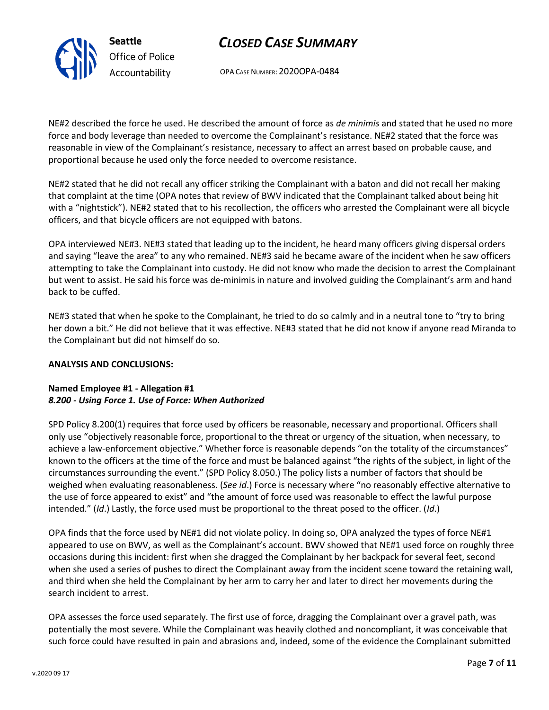OPA CASE NUMBER: 2020OPA-0484

NE#2 described the force he used. He described the amount of force as *de minimis* and stated that he used no more force and body leverage than needed to overcome the Complainant's resistance. NE#2 stated that the force was reasonable in view of the Complainant's resistance, necessary to affect an arrest based on probable cause, and proportional because he used only the force needed to overcome resistance.

NE#2 stated that he did not recall any officer striking the Complainant with a baton and did not recall her making that complaint at the time (OPA notes that review of BWV indicated that the Complainant talked about being hit with a "nightstick"). NE#2 stated that to his recollection, the officers who arrested the Complainant were all bicycle officers, and that bicycle officers are not equipped with batons.

OPA interviewed NE#3. NE#3 stated that leading up to the incident, he heard many officers giving dispersal orders and saying "leave the area" to any who remained. NE#3 said he became aware of the incident when he saw officers attempting to take the Complainant into custody. He did not know who made the decision to arrest the Complainant but went to assist. He said his force was de-minimis in nature and involved guiding the Complainant's arm and hand back to be cuffed.

NE#3 stated that when he spoke to the Complainant, he tried to do so calmly and in a neutral tone to "try to bring her down a bit." He did not believe that it was effective. NE#3 stated that he did not know if anyone read Miranda to the Complainant but did not himself do so.

### **ANALYSIS AND CONCLUSIONS:**

### **Named Employee #1 - Allegation #1** *8.200 - Using Force 1. Use of Force: When Authorized*

SPD Policy 8.200(1) requires that force used by officers be reasonable, necessary and proportional. Officers shall only use "objectively reasonable force, proportional to the threat or urgency of the situation, when necessary, to achieve a law-enforcement objective." Whether force is reasonable depends "on the totality of the circumstances" known to the officers at the time of the force and must be balanced against "the rights of the subject, in light of the circumstances surrounding the event." (SPD Policy 8.050.) The policy lists a number of factors that should be weighed when evaluating reasonableness. (*See id*.) Force is necessary where "no reasonably effective alternative to the use of force appeared to exist" and "the amount of force used was reasonable to effect the lawful purpose intended." (*Id*.) Lastly, the force used must be proportional to the threat posed to the officer. (*Id*.)

OPA finds that the force used by NE#1 did not violate policy. In doing so, OPA analyzed the types of force NE#1 appeared to use on BWV, as well as the Complainant's account. BWV showed that NE#1 used force on roughly three occasions during this incident: first when she dragged the Complainant by her backpack for several feet, second when she used a series of pushes to direct the Complainant away from the incident scene toward the retaining wall, and third when she held the Complainant by her arm to carry her and later to direct her movements during the search incident to arrest.

OPA assesses the force used separately. The first use of force, dragging the Complainant over a gravel path, was potentially the most severe. While the Complainant was heavily clothed and noncompliant, it was conceivable that such force could have resulted in pain and abrasions and, indeed, some of the evidence the Complainant submitted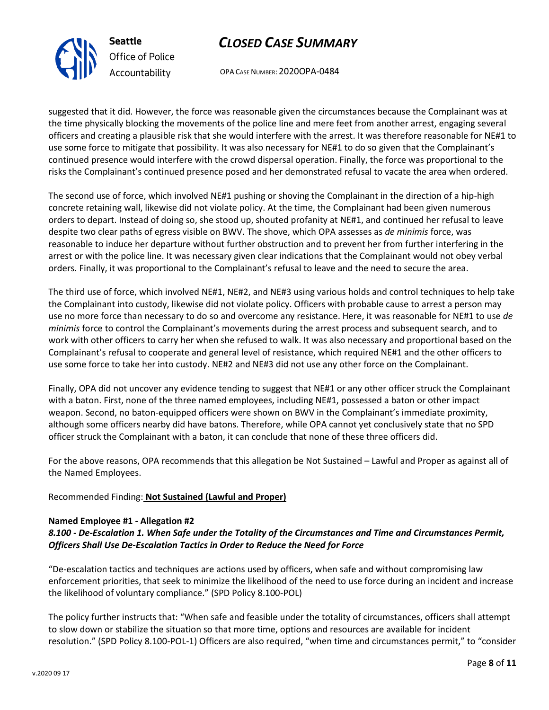

**Seattle** *Office of Police Accountability*

# *CLOSED CASE SUMMARY*

OPA CASE NUMBER: 2020OPA-0484

suggested that it did. However, the force was reasonable given the circumstances because the Complainant was at the time physically blocking the movements of the police line and mere feet from another arrest, engaging several officers and creating a plausible risk that she would interfere with the arrest. It was therefore reasonable for NE#1 to use some force to mitigate that possibility. It was also necessary for NE#1 to do so given that the Complainant's continued presence would interfere with the crowd dispersal operation. Finally, the force was proportional to the risks the Complainant's continued presence posed and her demonstrated refusal to vacate the area when ordered.

The second use of force, which involved NE#1 pushing or shoving the Complainant in the direction of a hip-high concrete retaining wall, likewise did not violate policy. At the time, the Complainant had been given numerous orders to depart. Instead of doing so, she stood up, shouted profanity at NE#1, and continued her refusal to leave despite two clear paths of egress visible on BWV. The shove, which OPA assesses as *de minimis* force, was reasonable to induce her departure without further obstruction and to prevent her from further interfering in the arrest or with the police line. It was necessary given clear indications that the Complainant would not obey verbal orders. Finally, it was proportional to the Complainant's refusal to leave and the need to secure the area.

The third use of force, which involved NE#1, NE#2, and NE#3 using various holds and control techniques to help take the Complainant into custody, likewise did not violate policy. Officers with probable cause to arrest a person may use no more force than necessary to do so and overcome any resistance. Here, it was reasonable for NE#1 to use *de minimis* force to control the Complainant's movements during the arrest process and subsequent search, and to work with other officers to carry her when she refused to walk. It was also necessary and proportional based on the Complainant's refusal to cooperate and general level of resistance, which required NE#1 and the other officers to use some force to take her into custody. NE#2 and NE#3 did not use any other force on the Complainant.

Finally, OPA did not uncover any evidence tending to suggest that NE#1 or any other officer struck the Complainant with a baton. First, none of the three named employees, including NE#1, possessed a baton or other impact weapon. Second, no baton-equipped officers were shown on BWV in the Complainant's immediate proximity, although some officers nearby did have batons. Therefore, while OPA cannot yet conclusively state that no SPD officer struck the Complainant with a baton, it can conclude that none of these three officers did.

For the above reasons, OPA recommends that this allegation be Not Sustained – Lawful and Proper as against all of the Named Employees.

## Recommended Finding: **Not Sustained (Lawful and Proper)**

## **Named Employee #1 - Allegation #2**

## *8.100 - De-Escalation 1. When Safe under the Totality of the Circumstances and Time and Circumstances Permit, Officers Shall Use De-Escalation Tactics in Order to Reduce the Need for Force*

"De-escalation tactics and techniques are actions used by officers, when safe and without compromising law enforcement priorities, that seek to minimize the likelihood of the need to use force during an incident and increase the likelihood of voluntary compliance." (SPD Policy 8.100-POL)

The policy further instructs that: "When safe and feasible under the totality of circumstances, officers shall attempt to slow down or stabilize the situation so that more time, options and resources are available for incident resolution." (SPD Policy 8.100-POL-1) Officers are also required, "when time and circumstances permit," to "consider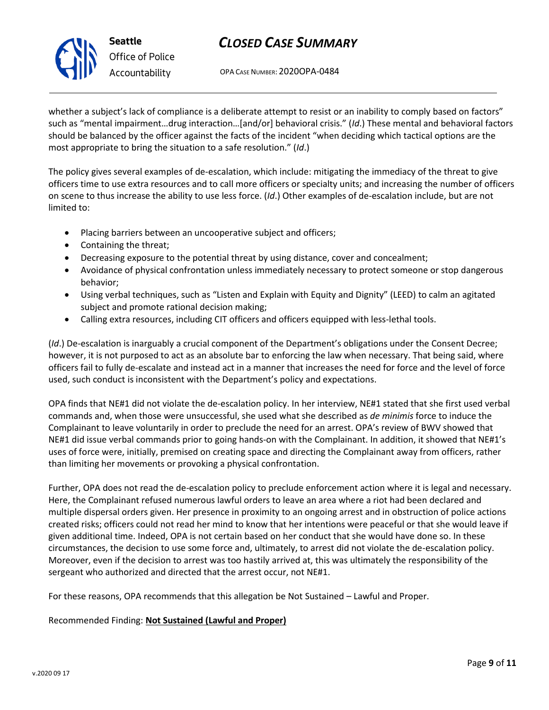

OPA CASE NUMBER: 2020OPA-0484

whether a subject's lack of compliance is a deliberate attempt to resist or an inability to comply based on factors" such as "mental impairment…drug interaction…[and/or] behavioral crisis." (*Id*.) These mental and behavioral factors should be balanced by the officer against the facts of the incident "when deciding which tactical options are the most appropriate to bring the situation to a safe resolution." (*Id*.)

The policy gives several examples of de-escalation, which include: mitigating the immediacy of the threat to give officers time to use extra resources and to call more officers or specialty units; and increasing the number of officers on scene to thus increase the ability to use less force. (*Id*.) Other examples of de-escalation include, but are not limited to:

- Placing barriers between an uncooperative subject and officers;
- Containing the threat;
- Decreasing exposure to the potential threat by using distance, cover and concealment;
- Avoidance of physical confrontation unless immediately necessary to protect someone or stop dangerous behavior;
- Using verbal techniques, such as "Listen and Explain with Equity and Dignity" (LEED) to calm an agitated subject and promote rational decision making;
- Calling extra resources, including CIT officers and officers equipped with less-lethal tools.

(*Id*.) De-escalation is inarguably a crucial component of the Department's obligations under the Consent Decree; however, it is not purposed to act as an absolute bar to enforcing the law when necessary. That being said, where officers fail to fully de-escalate and instead act in a manner that increases the need for force and the level of force used, such conduct is inconsistent with the Department's policy and expectations.

OPA finds that NE#1 did not violate the de-escalation policy. In her interview, NE#1 stated that she first used verbal commands and, when those were unsuccessful, she used what she described as *de minimis* force to induce the Complainant to leave voluntarily in order to preclude the need for an arrest. OPA's review of BWV showed that NE#1 did issue verbal commands prior to going hands-on with the Complainant. In addition, it showed that NE#1's uses of force were, initially, premised on creating space and directing the Complainant away from officers, rather than limiting her movements or provoking a physical confrontation.

Further, OPA does not read the de-escalation policy to preclude enforcement action where it is legal and necessary. Here, the Complainant refused numerous lawful orders to leave an area where a riot had been declared and multiple dispersal orders given. Her presence in proximity to an ongoing arrest and in obstruction of police actions created risks; officers could not read her mind to know that her intentions were peaceful or that she would leave if given additional time. Indeed, OPA is not certain based on her conduct that she would have done so. In these circumstances, the decision to use some force and, ultimately, to arrest did not violate the de-escalation policy. Moreover, even if the decision to arrest was too hastily arrived at, this was ultimately the responsibility of the sergeant who authorized and directed that the arrest occur, not NE#1.

For these reasons, OPA recommends that this allegation be Not Sustained – Lawful and Proper.

Recommended Finding: **Not Sustained (Lawful and Proper)**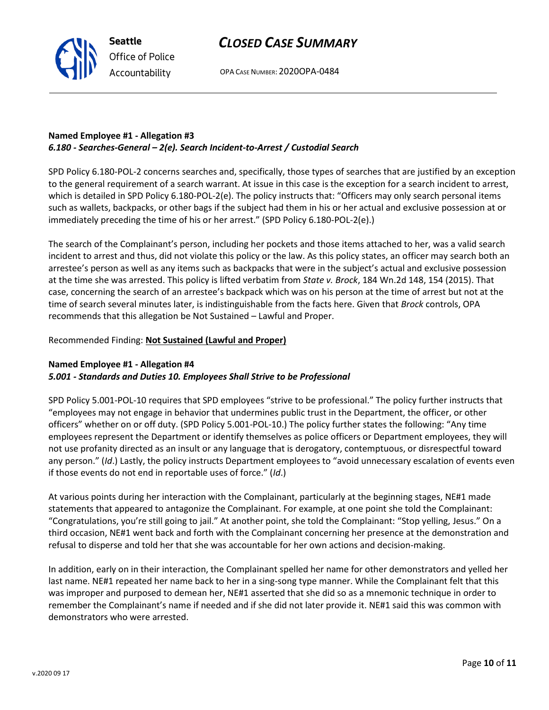

OPA CASE NUMBER: 2020OPA-0484

## **Named Employee #1 - Allegation #3** *6.180 - Searches-General – 2(e). Search Incident-to-Arrest / Custodial Search*

SPD Policy 6.180-POL-2 concerns searches and, specifically, those types of searches that are justified by an exception to the general requirement of a search warrant. At issue in this case is the exception for a search incident to arrest, which is detailed in SPD Policy 6.180-POL-2(e). The policy instructs that: "Officers may only search personal items such as wallets, backpacks, or other bags if the subject had them in his or her actual and exclusive possession at or immediately preceding the time of his or her arrest." (SPD Policy 6.180-POL-2(e).)

The search of the Complainant's person, including her pockets and those items attached to her, was a valid search incident to arrest and thus, did not violate this policy or the law. As this policy states, an officer may search both an arrestee's person as well as any items such as backpacks that were in the subject's actual and exclusive possession at the time she was arrested. This policy is lifted verbatim from *State v. Brock*, 184 Wn.2d 148, 154 (2015). That case, concerning the search of an arrestee's backpack which was on his person at the time of arrest but not at the time of search several minutes later, is indistinguishable from the facts here. Given that *Brock* controls, OPA recommends that this allegation be Not Sustained – Lawful and Proper.

## Recommended Finding: **Not Sustained (Lawful and Proper)**

## **Named Employee #1 - Allegation #4**

## *5.001 - Standards and Duties 10. Employees Shall Strive to be Professional*

SPD Policy 5.001-POL-10 requires that SPD employees "strive to be professional." The policy further instructs that "employees may not engage in behavior that undermines public trust in the Department, the officer, or other officers" whether on or off duty. (SPD Policy 5.001-POL-10.) The policy further states the following: "Any time employees represent the Department or identify themselves as police officers or Department employees, they will not use profanity directed as an insult or any language that is derogatory, contemptuous, or disrespectful toward any person." (*Id*.) Lastly, the policy instructs Department employees to "avoid unnecessary escalation of events even if those events do not end in reportable uses of force." (*Id*.)

At various points during her interaction with the Complainant, particularly at the beginning stages, NE#1 made statements that appeared to antagonize the Complainant. For example, at one point she told the Complainant: "Congratulations, you're still going to jail." At another point, she told the Complainant: "Stop yelling, Jesus." On a third occasion, NE#1 went back and forth with the Complainant concerning her presence at the demonstration and refusal to disperse and told her that she was accountable for her own actions and decision-making.

In addition, early on in their interaction, the Complainant spelled her name for other demonstrators and yelled her last name. NE#1 repeated her name back to her in a sing-song type manner. While the Complainant felt that this was improper and purposed to demean her, NE#1 asserted that she did so as a mnemonic technique in order to remember the Complainant's name if needed and if she did not later provide it. NE#1 said this was common with demonstrators who were arrested.